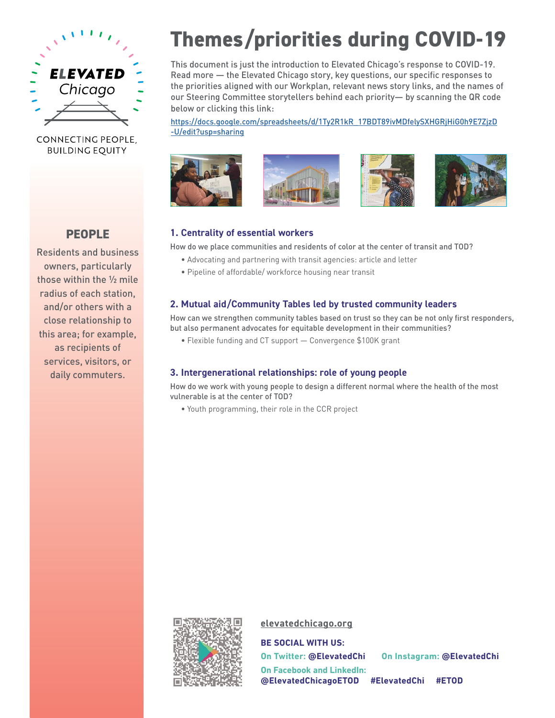

## CONNECTING PEOPLE. **BUILDING EQUITY**

**PEOPLE**

Residents and business owners, particularly those within the ½ mile radius of each station, and/or others with a close relationship to this area; for example, as recipients of services, visitors, or daily commuters.

# **Themes/priorities during COVID-19**

This document is just the introduction to Elevated Chicago's response to COVID-19. Read more — the Elevated Chicago story, key questions, our specific responses to the priorities aligned with our Workplan, relevant news story links, and the names of our Steering Committee storytellers behind each priority— by scanning the QR code below or clicking this link:

[https://docs.google.com/spreadsheets/d/1Ty2R1kR\\_17BDT89ivMDfelySXHGRjHiG0h9E7ZjzD](https://docs.google.com/spreadsheets/d/1Ty2R1kR_17BDT89ivMDfelySXHGRjHiG0h9E7ZjzD-U/edit?usp=sharing) [-U/edit?usp=sharing](https://docs.google.com/spreadsheets/d/1Ty2R1kR_17BDT89ivMDfelySXHGRjHiG0h9E7ZjzD-U/edit?usp=sharing)









#### **1. Centrality of essential workers**

How do we place communities and residents of color at the center of transit and TOD?

- Advocating and partnering with transit agencies: article and letter
- Pipeline of affordable/ workforce housing near transit

## **2. Mutual aid/Community Tables led by trusted community leaders**

How can we strengthen community tables based on trust so they can be not only first responders, but also permanent advocates for equitable development in their communities?

• Flexible funding and CT support — Convergence \$100K grant

#### **3. Intergenerational relationships: role of young people**

How do we work with young people to design a different normal where the health of the most vulnerable is at the center of TOD?

• Youth programming, their role in the CCR project



#### **[elevatedchicago.org](http://www.elevatedchicago.org)**

**BE SOCIAL WITH US:**

**On Twitter: @ElevatedChi On Instagram: @ElevatedChi On Facebook and LinkedIn: @ElevatedChicagoETOD #ElevatedChi #ETOD**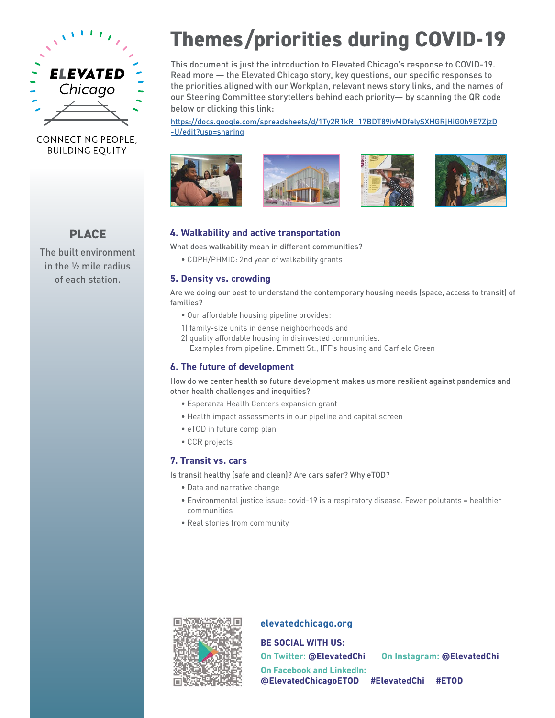

## CONNECTING PEOPLE. **BUILDING EQUITY**

**PLACE**

The built environment in the ½ mile radius of each station.

# **Themes/priorities during COVID-19**

This document is just the introduction to Elevated Chicago's response to COVID-19. Read more — the Elevated Chicago story, key questions, our specific responses to the priorities aligned with our Workplan, relevant news story links, and the names of our Steering Committee storytellers behind each priority— by scanning the QR code below or clicking this link:

[https://docs.google.com/spreadsheets/d/1Ty2R1kR\\_17BDT89ivMDfelySXHGRjHiG0h9E7ZjzD](https://docs.google.com/spreadsheets/d/1Ty2R1kR_17BDT89ivMDfelySXHGRjHiG0h9E7ZjzD-U/edit?usp=sharing) [-U/edit?usp=sharing](https://docs.google.com/spreadsheets/d/1Ty2R1kR_17BDT89ivMDfelySXHGRjHiG0h9E7ZjzD-U/edit?usp=sharing)









#### **4. Walkability and active transportation**

What does walkability mean in different communities?

• CDPH/PHMIC: 2nd year of walkability grants

#### **5. Density vs. crowding**

Are we doing our best to understand the contemporary housing needs (space, access to transit) of families?

- Our affordable housing pipeline provides:
- 1) family-size units in dense neighborhoods and
- 2) quality affordable housing in disinvested communities.
	- Examples from pipeline: Emmett St., IFF's housing and Garfield Green

## **6. The future of development**

How do we center health so future development makes us more resilient against pandemics and other health challenges and inequities?

- Esperanza Health Centers expansion grant
- Health impact assessments in our pipeline and capital screen
- eTOD in future comp plan
- CCR projects

#### **7. Transit vs. cars**

Is transit healthy (safe and clean)? Are cars safer? Why eTOD?

- Data and narrative change
- Environmental justice issue: covid-19 is a respiratory disease. Fewer polutants = healthier communities
- Real stories from community



## **[elevatedchicago.org](http://www.elevatedchicago.org)**

**BE SOCIAL WITH US:**

**On Twitter: @ElevatedChi On Instagram: @ElevatedChi On Facebook and LinkedIn: @ElevatedChicagoETOD #ElevatedChi #ETOD**